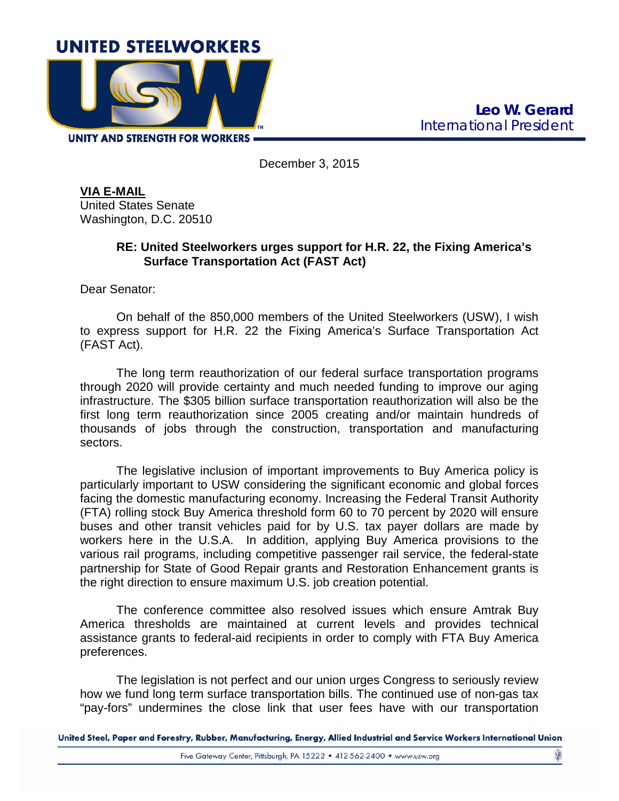

**UNITY AND STRENGTH FOR WORKERS** 

December 3, 2015

**VIA E-MAIL** United States Senate Washington, D.C. 20510

## **RE: United Steelworkers urges support for H.R. 22, the Fixing America's Surface Transportation Act (FAST Act)**

Dear Senator:

On behalf of the 850,000 members of the United Steelworkers (USW), I wish to express support for H.R. 22 the Fixing America's Surface Transportation Act (FAST Act).

The long term reauthorization of our federal surface transportation programs through 2020 will provide certainty and much needed funding to improve our aging infrastructure. The \$305 billion surface transportation reauthorization will also be the first long term reauthorization since 2005 creating and/or maintain hundreds of thousands of jobs through the construction, transportation and manufacturing sectors.

The legislative inclusion of important improvements to Buy America policy is particularly important to USW considering the significant economic and global forces facing the domestic manufacturing economy. Increasing the Federal Transit Authority (FTA) rolling stock Buy America threshold form 60 to 70 percent by 2020 will ensure buses and other transit vehicles paid for by U.S. tax payer dollars are made by workers here in the U.S.A. In addition, applying Buy America provisions to the various rail programs, including competitive passenger rail service, the federal-state partnership for State of Good Repair grants and Restoration Enhancement grants is the right direction to ensure maximum U.S. job creation potential.

The conference committee also resolved issues which ensure Amtrak Buy America thresholds are maintained at current levels and provides technical assistance grants to federal-aid recipients in order to comply with FTA Buy America preferences.

The legislation is not perfect and our union urges Congress to seriously review how we fund long term surface transportation bills. The continued use of non-gas tax "pay-fors" undermines the close link that user fees have with our transportation

United Steel, Paper and Forestry, Rubber, Manufacturing, Energy, Allied Industrial and Service Workers International Union

ÿ